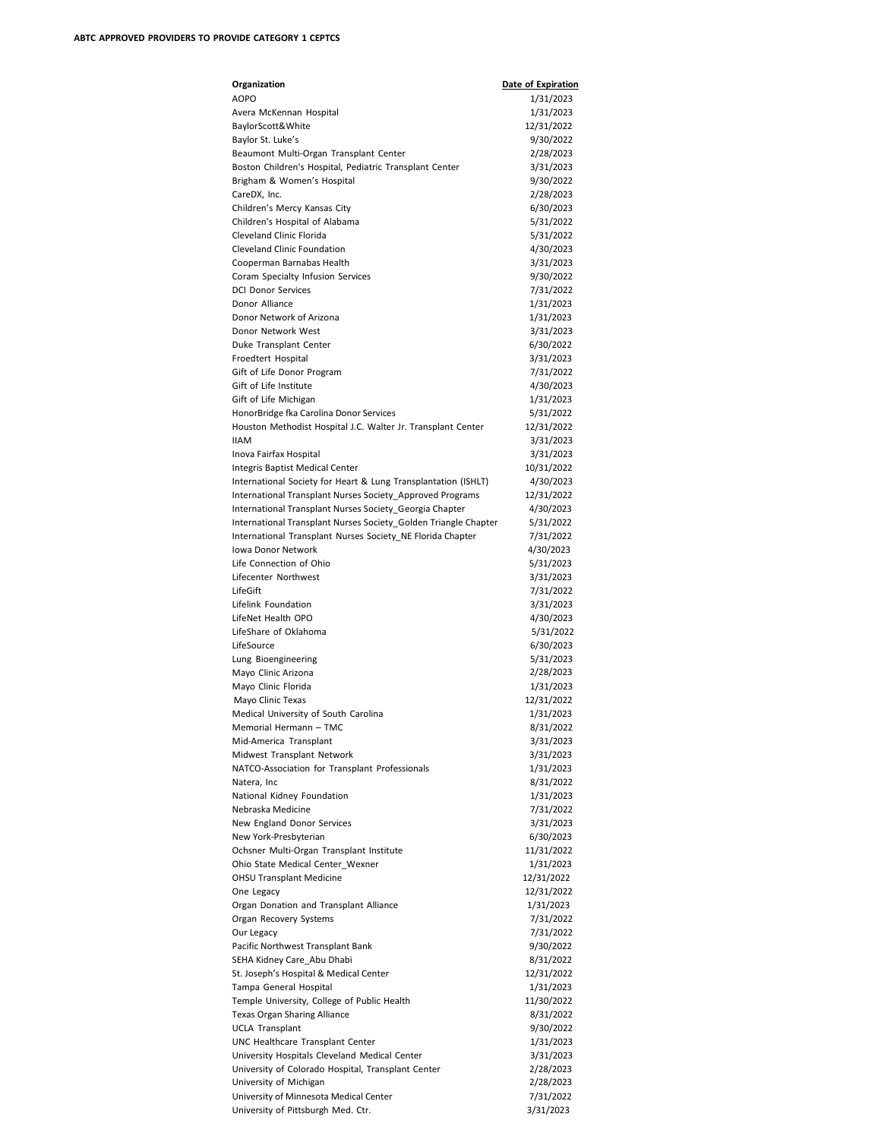| Organization                                                                                                                | Date of Expiration      |
|-----------------------------------------------------------------------------------------------------------------------------|-------------------------|
| <b>AOPO</b>                                                                                                                 | 1/31/2023               |
| Avera McKennan Hospital                                                                                                     | 1/31/2023               |
| BaylorScott&White<br>Baylor St. Luke's                                                                                      | 12/31/2022<br>9/30/2022 |
| Beaumont Multi-Organ Transplant Center                                                                                      | 2/28/2023               |
| Boston Children's Hospital, Pediatric Transplant Center                                                                     | 3/31/2023               |
| Brigham & Women's Hospital                                                                                                  | 9/30/2022               |
| CareDX, Inc.                                                                                                                | 2/28/2023               |
| Children's Mercy Kansas City                                                                                                | 6/30/2023               |
| Children's Hospital of Alabama                                                                                              | 5/31/2022               |
| Cleveland Clinic Florida                                                                                                    | 5/31/2022               |
| <b>Cleveland Clinic Foundation</b>                                                                                          | 4/30/2023               |
| Cooperman Barnabas Health                                                                                                   | 3/31/2023               |
| Coram Specialty Infusion Services                                                                                           | 9/30/2022               |
| <b>DCI Donor Services</b><br>Donor Alliance                                                                                 | 7/31/2022               |
| Donor Network of Arizona                                                                                                    | 1/31/2023<br>1/31/2023  |
| Donor Network West                                                                                                          | 3/31/2023               |
| Duke Transplant Center                                                                                                      | 6/30/2022               |
| Froedtert Hospital                                                                                                          | 3/31/2023               |
| Gift of Life Donor Program                                                                                                  | 7/31/2022               |
| Gift of Life Institute                                                                                                      | 4/30/2023               |
| Gift of Life Michigan                                                                                                       | 1/31/2023               |
| HonorBridge fka Carolina Donor Services                                                                                     | 5/31/2022               |
| Houston Methodist Hospital J.C. Walter Jr. Transplant Center                                                                | 12/31/2022              |
| <b>IIAM</b>                                                                                                                 | 3/31/2023               |
| Inova Fairfax Hospital                                                                                                      | 3/31/2023               |
| Integris Baptist Medical Center                                                                                             | 10/31/2022              |
| International Society for Heart & Lung Transplantation (ISHLT)<br>International Transplant Nurses Society_Approved Programs | 4/30/2023<br>12/31/2022 |
| International Transplant Nurses Society_Georgia Chapter                                                                     | 4/30/2023               |
| International Transplant Nurses Society_Golden Triangle Chapter                                                             | 5/31/2022               |
| International Transplant Nurses Society_NE Florida Chapter                                                                  | 7/31/2022               |
| Iowa Donor Network                                                                                                          | 4/30/2023               |
| Life Connection of Ohio                                                                                                     | 5/31/2023               |
| Lifecenter Northwest                                                                                                        | 3/31/2023               |
| LifeGift                                                                                                                    | 7/31/2022               |
| Lifelink Foundation                                                                                                         | 3/31/2023               |
| LifeNet Health OPO                                                                                                          | 4/30/2023               |
| LifeShare of Oklahoma<br>LifeSource                                                                                         | 5/31/2022<br>6/30/2023  |
| Lung Bioengineering                                                                                                         | 5/31/2023               |
| Mayo Clinic Arizona                                                                                                         | 2/28/2023               |
| Mayo Clinic Florida                                                                                                         | 1/31/2023               |
| Mayo Clinic Texas                                                                                                           | 12/31/2022              |
| Medical University of South Carolina                                                                                        | 1/31/2023               |
| Memorial Hermann - TMC                                                                                                      | 8/31/2022               |
| Mid-America Transplant                                                                                                      | 3/31/2023               |
| Midwest Transplant Network                                                                                                  | 3/31/2023               |
| NATCO-Association for Transplant Professionals                                                                              | 1/31/2023               |
| Natera, Inc                                                                                                                 | 8/31/2022<br>1/31/2023  |
| National Kidney Foundation<br>Nebraska Medicine                                                                             | 7/31/2022               |
| New England Donor Services                                                                                                  | 3/31/2023               |
| New York-Presbyterian                                                                                                       | 6/30/2023               |
| Ochsner Multi-Organ Transplant Institute                                                                                    | 11/31/2022              |
| Ohio State Medical Center_Wexner                                                                                            | 1/31/2023               |
| <b>OHSU Transplant Medicine</b>                                                                                             | 12/31/2022              |
| One Legacy                                                                                                                  | 12/31/2022              |
| Organ Donation and Transplant Alliance                                                                                      | 1/31/2023               |
| Organ Recovery Systems                                                                                                      | 7/31/2022               |
| Our Legacy                                                                                                                  | 7/31/2022               |
| Pacific Northwest Transplant Bank<br>SEHA Kidney Care Abu Dhabi                                                             | 9/30/2022<br>8/31/2022  |
| St. Joseph's Hospital & Medical Center                                                                                      | 12/31/2022              |
| Tampa General Hospital                                                                                                      | 1/31/2023               |
| Temple University, College of Public Health                                                                                 | 11/30/2022              |
| Texas Organ Sharing Alliance                                                                                                | 8/31/2022               |
| <b>UCLA Transplant</b>                                                                                                      | 9/30/2022               |
| UNC Healthcare Transplant Center                                                                                            | 1/31/2023               |
| University Hospitals Cleveland Medical Center                                                                               | 3/31/2023               |
| University of Colorado Hospital, Transplant Center                                                                          | 2/28/2023               |
| University of Michigan                                                                                                      | 2/28/2023               |
| University of Minnesota Medical Center<br>University of Pittsburgh Med. Ctr.                                                | 7/31/2022<br>3/31/2023  |
|                                                                                                                             |                         |